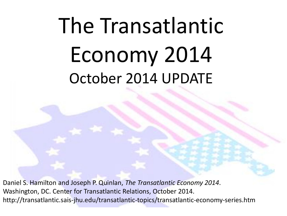# The Transatlantic Economy 2014 October 2014 UPDATE

Daniel S. Hamilton and Joseph P. Quinlan, *The Transatlantic Economy 2014*. Washington, DC. Center for Transatlantic Relations, October 2014. http://transatlantic.sais-jhu.edu/transatlantic-topics/transatlantic-economy-series.htm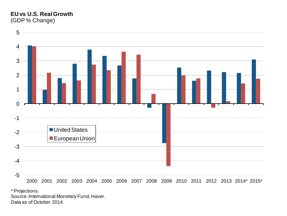#### **EU vs U.S. RealGrowth** (GDP % Change)



\* Projections.

Source: International Monetary Fund, Haver. Data as of October 2014.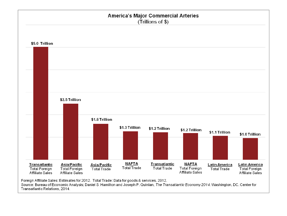

Source: Bureau of Economic Analysis; Daniel S. Hamilton and Joseph P. Quinlan, The Transatlantic Economy 2014. Washington, DC. Center for Transatlantic Relations, 2014.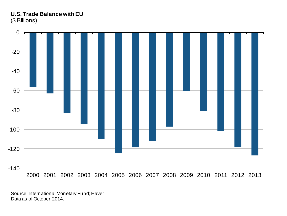### **U.S. Trade Balance with EU** (\$ Billions)



Source: International Monetary Fund; Haver Data as of October 2014.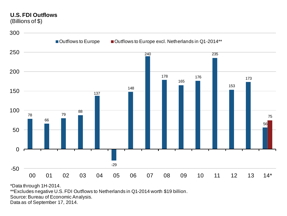# **U.S. FDI Outflows**

(Billions of \$)



\*Data through 1H-2014.

\*\*Excludes negative U.S. FDI Outflows to Netherlands in Q1-2014 worth \$19 billion.

Source: Bureau of Economic Analysis.

Data as of September 17, 2014.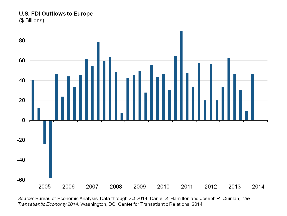U.S. FDI Outflows to Europe (\$ Billions)



Source: Bureau of Economic Analysis. Data through 2Q 2014; Daniel S. Hamilton and Joseph P. Quinlan, The Transatlantic Economy 2014. Washington, DC. Center for Transatlantic Relations, 2014.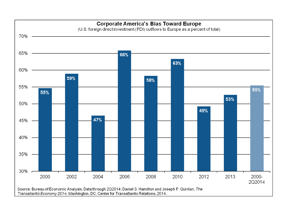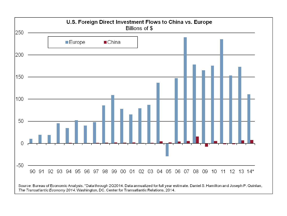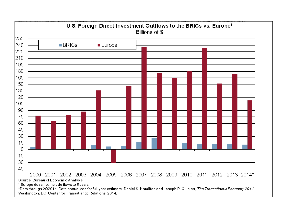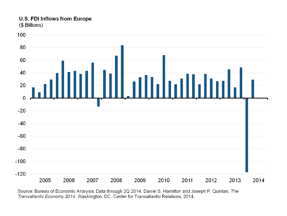## U.S. FDI Inflows from Europe

(\$ Billions)



Source: Bureau of Economic Analysis. Data through 2Q 2014. Daniel S. Hamilton and Joseph P. Quinlan, The Transatlantic Economy 2014. Washington, DC. Center for Transatlantic Relations, 2014.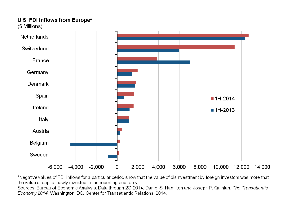## U.S. FDI Inflows from Europe\*

(\$ Millions)



\*Negative values of FDI inflows for a particular period show that the value of disinvestment by foreign investors was more that the value of capital newly invested in the reporting economy.

Sources: Bureau of Economic Analysis. Data through 2Q 2014. Daniel S. Hamilton and Joseph P. Quinlan, The Transatlantic Economy 2014. Washington, DC. Center for Transatlantic Relations, 2014.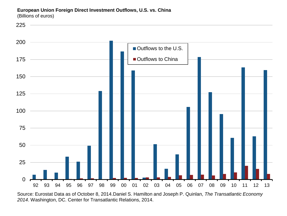**European Union Foreign Direct Investment Outflows, U.S. vs. China** (Billions of euros)



Source: Eurostat Data as of October 8, 2014.Daniel S. Hamilton and Joseph P. Quinlan, *The Transatlantic Economy*  . Washington, DC. Center for Transatlantic Relations, 2014.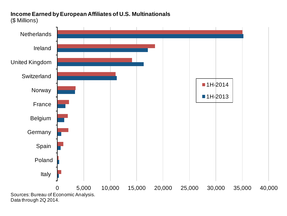#### **Income Earned by European Affiliates of U.S. Multinationals** (\$ Millions)

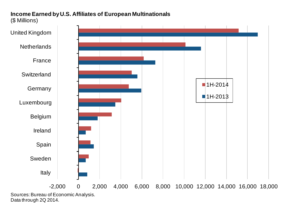#### **Income Earned by U.S. Affiliates of European Multinationals** (\$ Millions)



Data through 2Q 2014.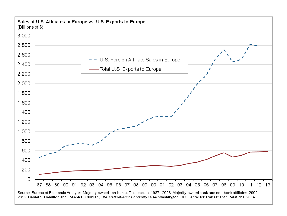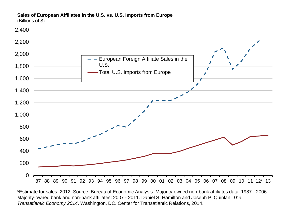#### **Sales of European Affiliates in the U.S. vs. U.S. Imports from Europe** (Billions of \$)

 $\Omega$ 200 400 600 800 1,000 1,200 1,400 1,600 1,800 2,000 2,200 2,400 87 88 89 90 91 92 93 94 95 96 97 98 99 00 01 02 03 04 05 06 07 08 09 10 11 12\* 13 European Foreign Affiliate Sales in the U.S. -Total U.S. Imports from Europe

\*Estimate for sales: 2012. Source: Bureau of Economic Analysis. Majority-owned non-bank affiliates data: 1987 - 2006. Majority-owned bank and non-bank affiliates: 2007 - 2011. Daniel S. Hamilton and Joseph P. Quinlan, *The Transatlantic Economy 2014*. Washington, DC. Center for Transatlantic Relations, 2014.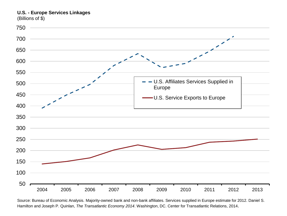**U.S. - Europe Services Linkages**

(Billions of \$)



Source: Bureau of Economic Analysis. Majority-owned bank and non-bank affiliates. Services supplied in Europe estimate for 2012. Daniel S. Hamilton and Joseph P. Quinlan, *The Transatlantic Economy 2014*. Washington, DC. Center for Transatlantic Relations, 2014.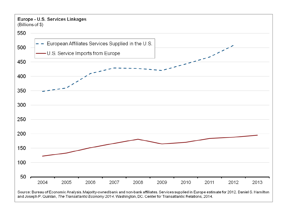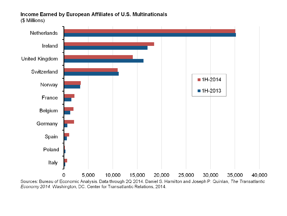#### Income Earned by European Affiliates of U.S. Multinationals (\$ Millions)

Italy

Netherlands Ireland **United Kingdom** Switzerland  $\blacksquare$  1H-2014 Norway  $\blacksquare$  1H-2013 France Belgium Germany Spain Poland

5,000 10,000 15,000 20,000 25,000 30,000 35,000 40,000 0 Sources: Bureau of Economic Analysis. Data through 2Q 2014. Daniel S. Hamilton and Joseph P. Quinlan, The Transatlantic Economy 2014. Washington, DC. Center for Transatlantic Relations, 2014.